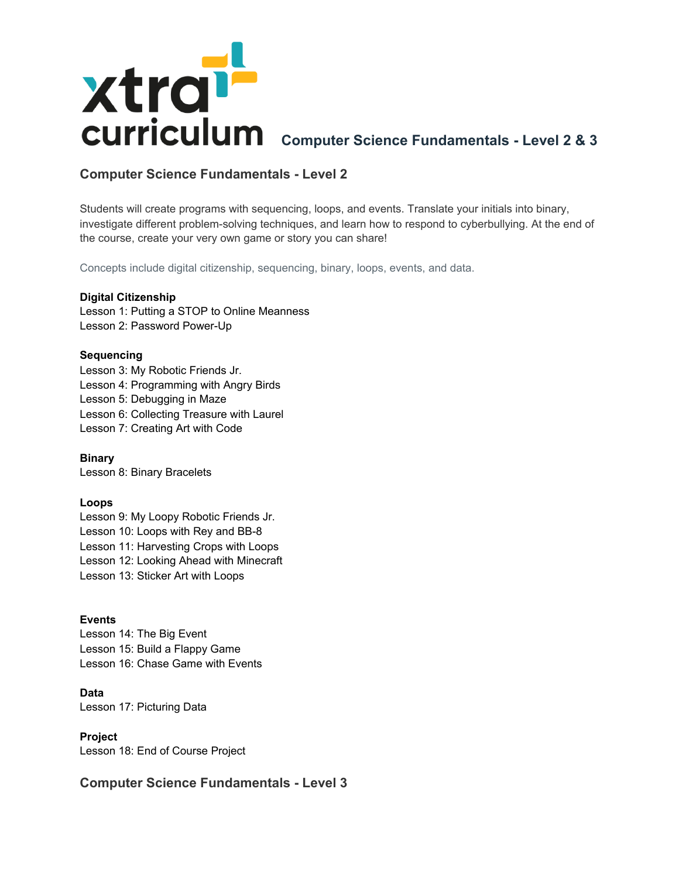

# **Computer Science Fundamentals - Level 2**

Students will create programs with sequencing, loops, and events. Translate your initials into binary, investigate different problem-solving techniques, and learn how to respond to cyberbullying. At the end of the course, create your very own game or story you can share!

Concepts include digital citizenship, sequencing, binary, loops, events, and data.

## **Digital Citizenship**

Lesson 1: Putting a STOP to Online Meanness Lesson 2: Password Power-Up

# **Sequencing**

Lesson 3: My Robotic Friends Jr. Lesson 4: Programming with Angry Birds Lesson 5: Debugging in Maze Lesson 6: Collecting Treasure with Laurel Lesson 7: Creating Art with Code

**Binary** Lesson 8: Binary Bracelets

# **Loops**

Lesson 9: My Loopy Robotic Friends Jr. Lesson 10: Loops with Rey and BB-8 Lesson 11: Harvesting Crops with Loops Lesson 12: Looking Ahead with Minecraft Lesson 13: Sticker Art with Loops

# **Events**

Lesson 14: The Big Event Lesson 15: Build a Flappy Game Lesson 16: Chase Game with Events

**Data** Lesson 17: Picturing Data

# **Project**

Lesson 18: End of Course Project

# **Computer Science Fundamentals - Level 3**